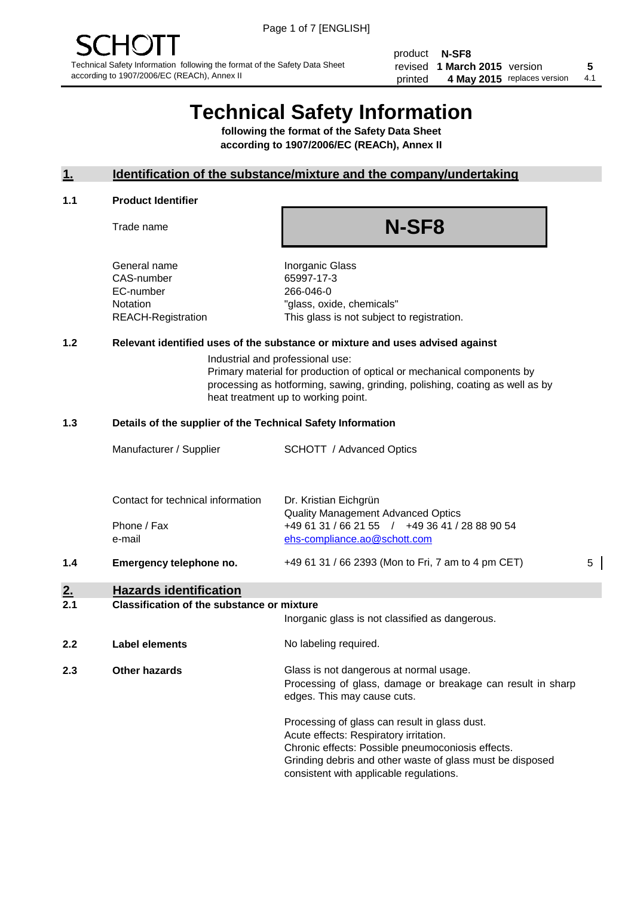product **N-SF8** revised **5 1 March 2015** version printed 4 May 2015 replaces version 4.1

# **Technical Safety Information**

**following the format of the Safety Data Sheet according to 1907/2006/EC (REACh), Annex II**

#### **1. Identification of the substance/mixture and the company/undertaking**

#### **1.1 Product Identifier**

Trade name

# **N-SF8**

General name **Inorganic Glass** CAS-number 65997-17-3 EC-number 266-046-0

Notation "glass, oxide, chemicals" REACH-Registration This glass is not subject to registration.

#### **1.2 Relevant identified uses of the substance or mixture and uses advised against**

Industrial and professional use: Primary material for production of optical or mechanical components by processing as hotforming, sawing, grinding, polishing, coating as well as by heat treatment up to working point.

#### **1.3 Details of the supplier of the Technical Safety Information**

|     | Manufacturer / Supplier           | <b>SCHOTT</b> / Advanced Optics                                                             |   |
|-----|-----------------------------------|---------------------------------------------------------------------------------------------|---|
|     |                                   |                                                                                             |   |
|     | Contact for technical information | Dr. Kristian Eichgrün                                                                       |   |
|     | Phone / Fax                       | <b>Quality Management Advanced Optics</b><br>+49 61 31 / 66 21 55 / +49 36 41 / 28 88 90 54 |   |
|     | e-mail                            | ehs-compliance.ao@schott.com                                                                |   |
| 1.4 | Emergency telephone no.           | +49 61 31 / 66 2393 (Mon to Fri, 7 am to 4 pm CET)                                          | 5 |

## **2. Hazards identification**

#### **2.1 Classification of the substance or mixture**

|     |                      | Inorganic glass is not classified as dangerous.                                                                                                                                                                                                      |
|-----|----------------------|------------------------------------------------------------------------------------------------------------------------------------------------------------------------------------------------------------------------------------------------------|
| 2.2 | Label elements       | No labeling required.                                                                                                                                                                                                                                |
| 2.3 | <b>Other hazards</b> | Glass is not dangerous at normal usage.<br>Processing of glass, damage or breakage can result in sharp<br>edges. This may cause cuts.                                                                                                                |
|     |                      | Processing of glass can result in glass dust.<br>Acute effects: Respiratory irritation.<br>Chronic effects: Possible pneumoconiosis effects.<br>Grinding debris and other waste of glass must be disposed<br>consistent with applicable regulations. |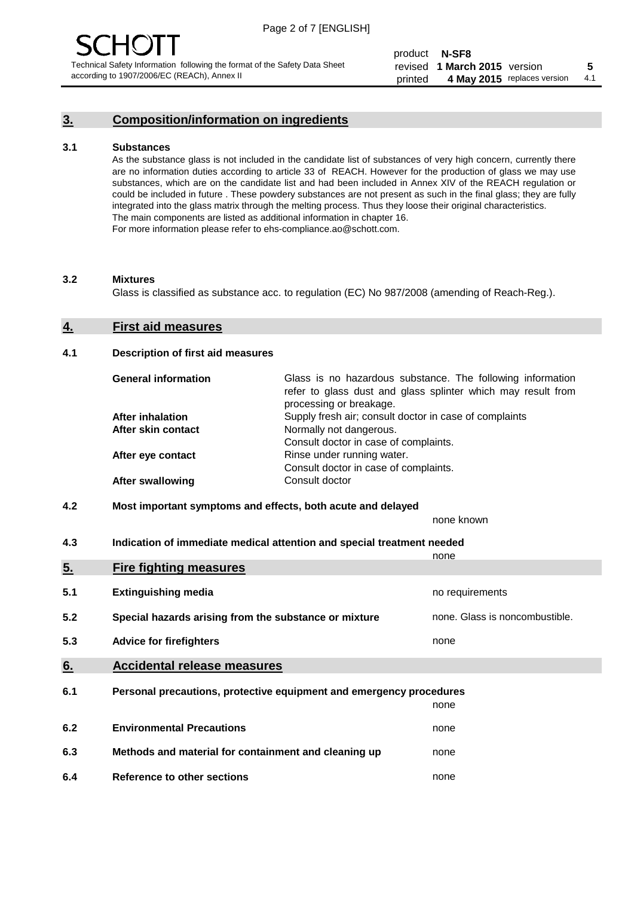### **3. Composition/information on ingredients**

#### **3.1 Substances**

As the substance glass is not included in the candidate list of substances of very high concern, currently there are no information duties according to article 33 of REACH. However for the production of glass we may use substances, which are on the candidate list and had been included in Annex XIV of the REACH regulation or could be included in future . These powdery substances are not present as such in the final glass; they are fully integrated into the glass matrix through the melting process. Thus they loose their original characteristics. The main components are listed as additional information in chapter 16. For more information please refer to ehs-compliance.ao@schott.com.

#### **3.2 Mixtures**

Glass is classified as substance acc. to regulation (EC) No 987/2008 (amending of Reach-Reg.).

#### **4. First aid measures**

#### **4.1 Description of first aid measures**

| <b>General information</b> | Glass is no hazardous substance. The following information<br>refer to glass dust and glass splinter which may result from<br>processing or breakage. |
|----------------------------|-------------------------------------------------------------------------------------------------------------------------------------------------------|
| <b>After inhalation</b>    | Supply fresh air; consult doctor in case of complaints                                                                                                |
| After skin contact         | Normally not dangerous.                                                                                                                               |
|                            | Consult doctor in case of complaints.                                                                                                                 |
| After eye contact          | Rinse under running water.                                                                                                                            |
|                            | Consult doctor in case of complaints.                                                                                                                 |
| <b>After swallowing</b>    | Consult doctor                                                                                                                                        |

#### **4.2 Most important symptoms and effects, both acute and delayed**

none known

**4.3 Indication of immediate medical attention and special treatment needed** 

|     |                                                                     | none                           |
|-----|---------------------------------------------------------------------|--------------------------------|
| 5.  | <b>Fire fighting measures</b>                                       |                                |
| 5.1 | <b>Extinguishing media</b>                                          | no requirements                |
| 5.2 | Special hazards arising from the substance or mixture               | none. Glass is noncombustible. |
| 5.3 | <b>Advice for firefighters</b>                                      | none                           |
| 6.  | <b>Accidental release measures</b>                                  |                                |
| 6.1 | Personal precautions, protective equipment and emergency procedures |                                |
|     |                                                                     | none                           |
| 6.2 | <b>Environmental Precautions</b>                                    | none                           |
| 6.3 | Methods and material for containment and cleaning up                | none                           |
| 6.4 | Reference to other sections                                         | none                           |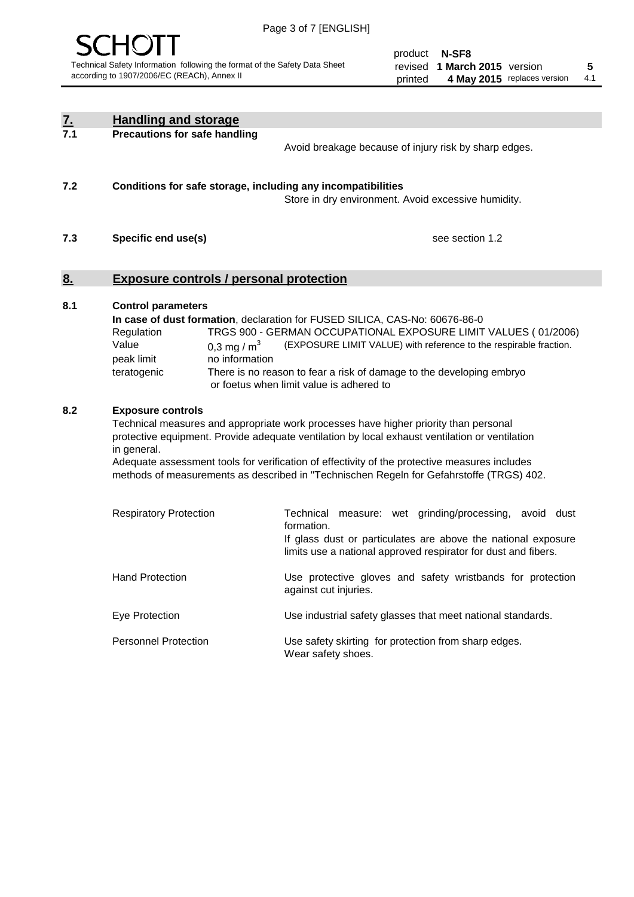

product **N-SF8** revised **5 1 March 2015** version printed 4 May 2015 replaces version 4.1

| <u>7.</u> | <b>Handling and storage</b>                                                                                                                                                                                                                                                                                                                                                                                                    |                                                                                                                                                                                                                                                                                                                                        |
|-----------|--------------------------------------------------------------------------------------------------------------------------------------------------------------------------------------------------------------------------------------------------------------------------------------------------------------------------------------------------------------------------------------------------------------------------------|----------------------------------------------------------------------------------------------------------------------------------------------------------------------------------------------------------------------------------------------------------------------------------------------------------------------------------------|
| 7.1       | <b>Precautions for safe handling</b>                                                                                                                                                                                                                                                                                                                                                                                           | Avoid breakage because of injury risk by sharp edges.                                                                                                                                                                                                                                                                                  |
| 7.2       | Conditions for safe storage, including any incompatibilities                                                                                                                                                                                                                                                                                                                                                                   | Store in dry environment. Avoid excessive humidity.                                                                                                                                                                                                                                                                                    |
| 7.3       | Specific end use(s)                                                                                                                                                                                                                                                                                                                                                                                                            | see section 1.2                                                                                                                                                                                                                                                                                                                        |
| <u>8.</u> | <b>Exposure controls / personal protection</b>                                                                                                                                                                                                                                                                                                                                                                                 |                                                                                                                                                                                                                                                                                                                                        |
| 8.1       | <b>Control parameters</b><br>Regulation<br>Value<br>0,3 mg / $m3$<br>peak limit<br>no information<br>teratogenic                                                                                                                                                                                                                                                                                                               | In case of dust formation, declaration for FUSED SILICA, CAS-No: 60676-86-0<br>TRGS 900 - GERMAN OCCUPATIONAL EXPOSURE LIMIT VALUES (01/2006)<br>(EXPOSURE LIMIT VALUE) with reference to the respirable fraction.<br>There is no reason to fear a risk of damage to the developing embryo<br>or foetus when limit value is adhered to |
| 8.2       | <b>Exposure controls</b><br>Technical measures and appropriate work processes have higher priority than personal<br>protective equipment. Provide adequate ventilation by local exhaust ventilation or ventilation<br>in general.<br>Adequate assessment tools for verification of effectivity of the protective measures includes<br>methods of measurements as described in "Technischen Regeln for Gefahrstoffe (TRGS) 402. |                                                                                                                                                                                                                                                                                                                                        |
|           | <b>Respiratory Protection</b>                                                                                                                                                                                                                                                                                                                                                                                                  | Technical measure: wet grinding/processing, avoid dust<br>formation.<br>If glass dust or particulates are above the national exposure<br>limits use a national approved respirator for dust and fibers.                                                                                                                                |
|           | <b>Hand Protection</b>                                                                                                                                                                                                                                                                                                                                                                                                         | Use protective gloves and safety wristbands for protection<br>against cut injuries.                                                                                                                                                                                                                                                    |
|           | Eye Protection                                                                                                                                                                                                                                                                                                                                                                                                                 | Use industrial safety glasses that meet national standards.                                                                                                                                                                                                                                                                            |
|           | <b>Personnel Protection</b>                                                                                                                                                                                                                                                                                                                                                                                                    | Use safety skirting for protection from sharp edges.<br>Wear safety shoes.                                                                                                                                                                                                                                                             |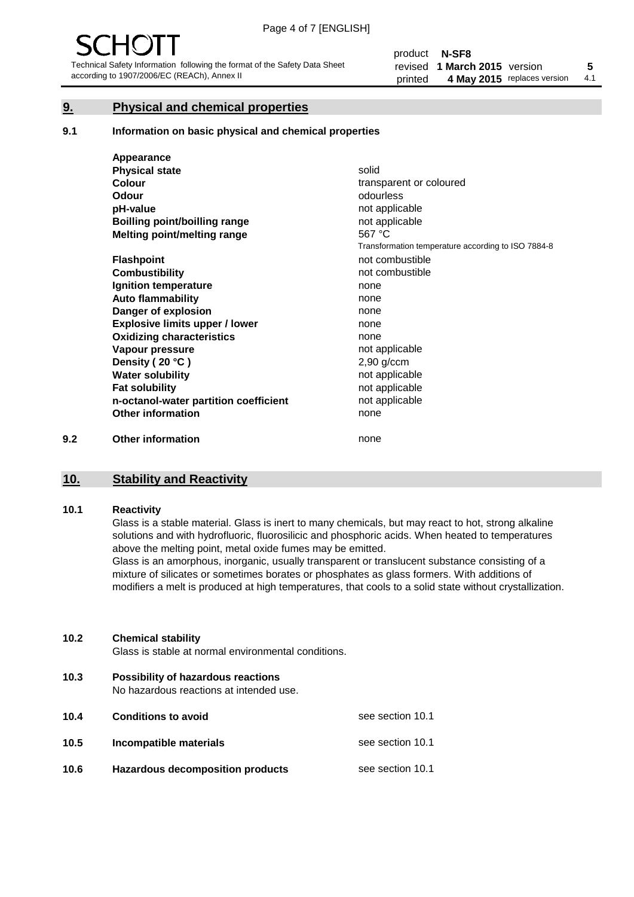#### **9. Physical and chemical properties**

#### **9.1 Information on basic physical and chemical properties**

|     | Appearance                            |                                                    |
|-----|---------------------------------------|----------------------------------------------------|
|     | <b>Physical state</b>                 | solid                                              |
|     | <b>Colour</b>                         | transparent or coloured                            |
|     | <b>Odour</b>                          | odourless                                          |
|     | pH-value                              | not applicable                                     |
|     | Boilling point/boilling range         | not applicable                                     |
|     | Melting point/melting range           | 567 °C                                             |
|     |                                       | Transformation temperature according to ISO 7884-8 |
|     | <b>Flashpoint</b>                     | not combustible                                    |
|     | <b>Combustibility</b>                 | not combustible                                    |
|     | Ignition temperature                  | none                                               |
|     | <b>Auto flammability</b>              | none                                               |
|     | Danger of explosion                   | none                                               |
|     | <b>Explosive limits upper / lower</b> | none                                               |
|     | <b>Oxidizing characteristics</b>      | none                                               |
|     | Vapour pressure                       | not applicable                                     |
|     | Density (20 °C)                       | $2,90$ g/ccm                                       |
|     | <b>Water solubility</b>               | not applicable                                     |
|     | <b>Fat solubility</b>                 | not applicable                                     |
|     | n-octanol-water partition coefficient | not applicable                                     |
|     | <b>Other information</b>              | none                                               |
| 9.2 | <b>Other information</b>              | none                                               |

## **10. Stability and Reactivity**

#### **10.1 Reactivity**

Glass is a stable material. Glass is inert to many chemicals, but may react to hot, strong alkaline solutions and with hydrofluoric, fluorosilicic and phosphoric acids. When heated to temperatures above the melting point, metal oxide fumes may be emitted.

Glass is an amorphous, inorganic, usually transparent or translucent substance consisting of a mixture of silicates or sometimes borates or phosphates as glass formers. With additions of modifiers a melt is produced at high temperatures, that cools to a solid state without crystallization.

#### **10.2 Chemical stability**

Glass is stable at normal environmental conditions.

**10.3 Possibility of hazardous reactions** 

No hazardous reactions at intended use.

| 10.4 | <b>Conditions to avoid</b>              | see section 10.1 |
|------|-----------------------------------------|------------------|
| 10.5 | Incompatible materials                  | see section 10.1 |
| 10.6 | <b>Hazardous decomposition products</b> | see section 10.1 |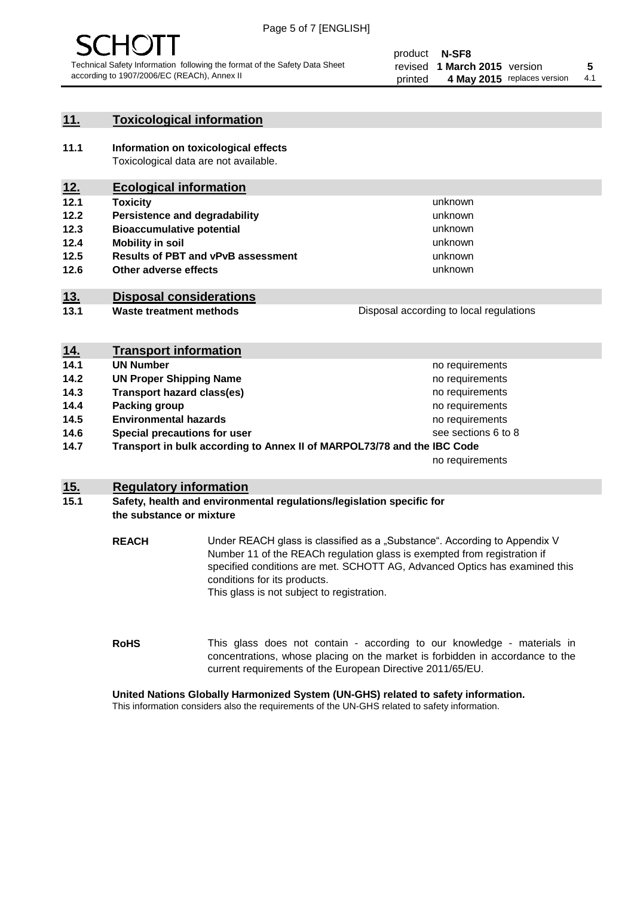

#### **11. Toxicological information**

**11.1 Information on toxicological effects** Toxicological data are not available.

### **12. Ecological information**

- **12.1 Toxicity**
- **12.2 Persistence and degradability**
- **12.3 Bioaccumulative potential**
- **12.4 Mobility in soil**
- **12.5 Results of PBT and vPvB assessment**
- **12.6 Other adverse effects**

#### **13. Disposal considerations**

**13.1 Waste treatment methods**

| Disposal according to local regulations |
|-----------------------------------------|
|                                         |

unknown unknown unknown unknown

unknown unknown

| <u>14.</u> | <b>Transport information</b>                                            |                     |
|------------|-------------------------------------------------------------------------|---------------------|
| 14.1       | <b>UN Number</b>                                                        | no requirements     |
| 14.2       | <b>UN Proper Shipping Name</b>                                          | no requirements     |
| 14.3       | <b>Transport hazard class(es)</b>                                       | no requirements     |
| 14.4       | Packing group                                                           | no requirements     |
| 14.5       | <b>Environmental hazards</b>                                            | no requirements     |
| 14.6       | Special precautions for user                                            | see sections 6 to 8 |
| 14.7       | Transport in bulk according to Annex II of MARPOL73/78 and the IBC Code |                     |
|            |                                                                         | no requirements     |

#### **15. Regulatory information**

#### **15.1 Safety, health and environmental regulations/legislation specific for the substance or mixture**

**REACH** Under REACH glass is classified as a "Substance". According to Appendix V Number 11 of the REACh regulation glass is exempted from registration if specified conditions are met. SCHOTT AG, Advanced Optics has examined this conditions for its products. This glass is not subject to registration.

**RoHS** This glass does not contain - according to our knowledge - materials in concentrations, whose placing on the market is forbidden in accordance to the current requirements of the European Directive 2011/65/EU.

#### **United Nations Globally Harmonized System (UN-GHS) related to safety information.**

This information considers also the requirements of the UN-GHS related to safety information.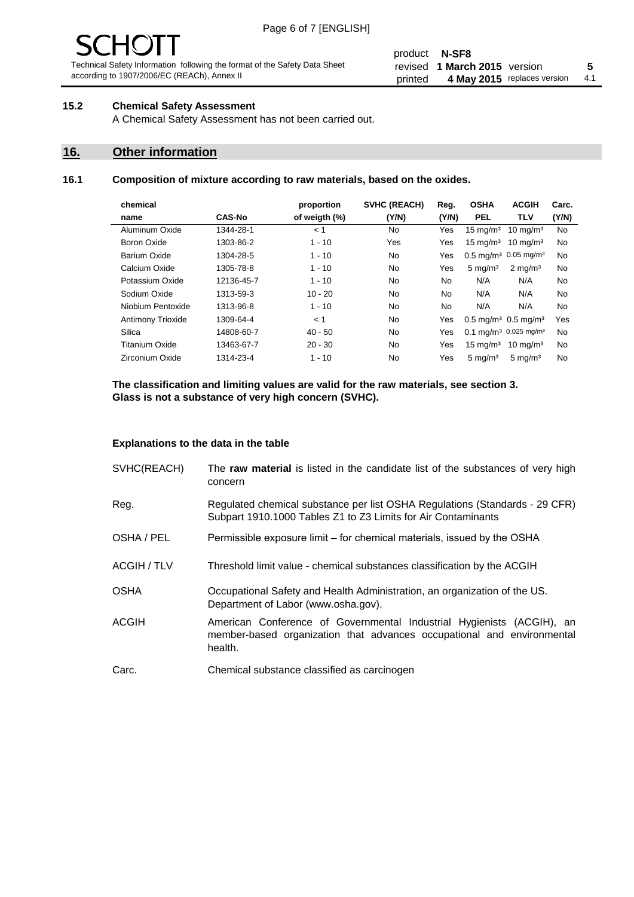# 1( )

Technical Safety Information following the format of the Safety Data Sheet according to 1907/2006/EC (REACh), Annex II

#### product **N-SF8** revised **5 1 March 2015** version printed 4 May 2015 replaces version 4.1

#### **15.2 Chemical Safety Assessment**

A Chemical Safety Assessment has not been carried out.

#### **16. Other information**

#### **16.1 Composition of mixture according to raw materials, based on the oxides.**

| chemical                 |               | proportion    | <b>SVHC (REACH)</b> | Reg.      | <b>OSHA</b>                                  | <b>ACGIH</b>        | Carc. |
|--------------------------|---------------|---------------|---------------------|-----------|----------------------------------------------|---------------------|-------|
| name                     | <b>CAS-No</b> | of weigth (%) | (Y/N)               | (Y/N)     | <b>PEL</b>                                   | <b>TLV</b>          | (Y/N) |
| Aluminum Oxide           | 1344-28-1     | < 1           | No.                 | Yes       | $15 \text{ mg/m}^3$                          | $10 \text{ mg/m}^3$ | No    |
| Boron Oxide              | 1303-86-2     | $1 - 10$      | Yes                 | Yes       | $15 \text{ mg/m}^3$                          | $10 \text{ mg/m}^3$ | No    |
| Barium Oxide             | 1304-28-5     | $1 - 10$      | No.                 | Yes       | $0.5 \text{ mg/m}^3$ 0.05 mg/m <sup>3</sup>  |                     | No    |
| Calcium Oxide            | 1305-78-8     | $1 - 10$      | No.                 | Yes       | $5 \text{ mg/m}^3$                           | $2 \text{ mg/m}^3$  | No    |
| Potassium Oxide          | 12136-45-7    | $1 - 10$      | No.                 | No.       | N/A                                          | N/A                 | No    |
| Sodium Oxide             | 1313-59-3     | $10 - 20$     | No.                 | <b>No</b> | N/A                                          | N/A                 | No    |
| Niobium Pentoxide        | 1313-96-8     | $1 - 10$      | No.                 | <b>No</b> | N/A                                          | N/A                 | No    |
| <b>Antimony Trioxide</b> | 1309-64-4     | < 1           | No.                 | Yes       | $0.5 \text{ mg/m}^3$ 0.5 mg/m <sup>3</sup>   |                     | Yes   |
| Silica                   | 14808-60-7    | $40 - 50$     | No.                 | Yes       | $0.1 \text{ mg/m}^3$ 0.025 mg/m <sup>3</sup> |                     | No.   |
| Titanium Oxide           | 13463-67-7    | $20 - 30$     | No.                 | Yes       | $15 \text{ mg/m}^3$                          | $10 \text{ mg/m}^3$ | No    |
| Zirconium Oxide          | 1314-23-4     | $1 - 10$      | No.                 | Yes       | $5 \text{ mg/m}^3$                           | $5 \text{ mg/m}^3$  | No    |
|                          |               |               |                     |           |                                              |                     |       |

**The classification and limiting values are valid for the raw materials, see section 3. Glass is not a substance of very high concern (SVHC).**

#### **Explanations to the data in the table**

| SVHC(REACH)        | The raw material is listed in the candidate list of the substances of very high<br>concern                                                                 |
|--------------------|------------------------------------------------------------------------------------------------------------------------------------------------------------|
| Reg.               | Regulated chemical substance per list OSHA Regulations (Standards - 29 CFR)<br>Subpart 1910.1000 Tables Z1 to Z3 Limits for Air Contaminants               |
| OSHA / PEL         | Permissible exposure limit – for chemical materials, issued by the OSHA                                                                                    |
| <b>ACGIH / TLV</b> | Threshold limit value - chemical substances classification by the ACGIH                                                                                    |
| <b>OSHA</b>        | Occupational Safety and Health Administration, an organization of the US.<br>Department of Labor (www.osha.gov).                                           |
| <b>ACGIH</b>       | American Conference of Governmental Industrial Hygienists (ACGIH), an<br>member-based organization that advances occupational and environmental<br>health. |
| Carc.              | Chemical substance classified as carcinogen                                                                                                                |